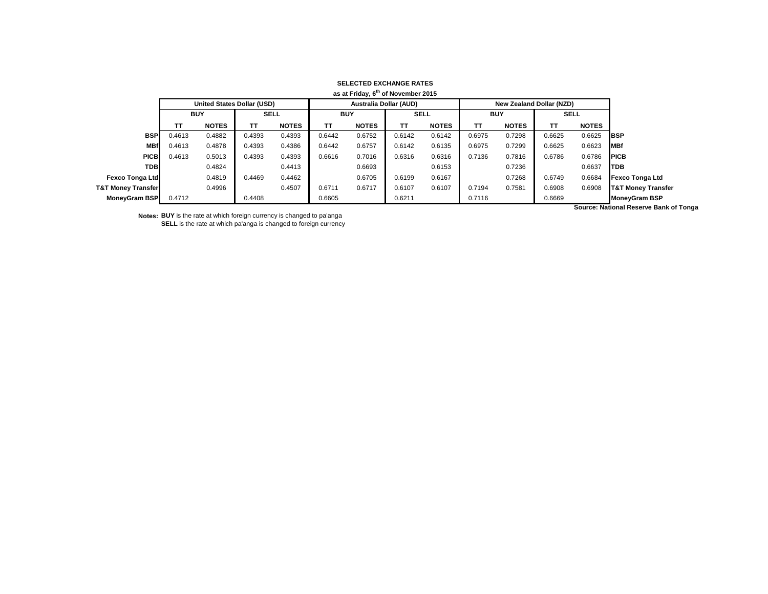| as at Friday, 6 <sup>th</sup> of November 2015 |            |                                   |             |              |            |                               |             |              |                                 |              |             |              |                               |
|------------------------------------------------|------------|-----------------------------------|-------------|--------------|------------|-------------------------------|-------------|--------------|---------------------------------|--------------|-------------|--------------|-------------------------------|
|                                                |            | <b>United States Dollar (USD)</b> |             |              |            | <b>Australia Dollar (AUD)</b> |             |              | <b>New Zealand Dollar (NZD)</b> |              |             |              |                               |
|                                                | <b>BUY</b> |                                   | <b>SELL</b> |              | <b>BUY</b> |                               | <b>SELL</b> |              | <b>BUY</b>                      |              | <b>SELL</b> |              |                               |
|                                                | тт         | <b>NOTES</b>                      | TT.         | <b>NOTES</b> | тт         | <b>NOTES</b>                  | <b>TT</b>   | <b>NOTES</b> | ТT                              | <b>NOTES</b> | тт          | <b>NOTES</b> |                               |
| <b>BSP</b>                                     | 0.4613     | 0.4882                            | 0.4393      | 0.4393       | 0.6442     | 0.6752                        | 0.6142      | 0.6142       | 0.6975                          | 0.7298       | 0.6625      | 0.6625       | <b>IBSP</b>                   |
| <b>MBf</b>                                     | 0.4613     | 0.4878                            | 0.4393      | 0.4386       | 0.6442     | 0.6757                        | 0.6142      | 0.6135       | 0.6975                          | 0.7299       | 0.6625      | 0.6623       | <b>MBf</b>                    |
| <b>PICB</b>                                    | 0.4613     | 0.5013                            | 0.4393      | 0.4393       | 0.6616     | 0.7016                        | 0.6316      | 0.6316       | 0.7136                          | 0.7816       | 0.6786      | 0.6786       | <b>PICB</b>                   |
| TDBI                                           |            | 0.4824                            |             | 0.4413       |            | 0.6693                        |             | 0.6153       |                                 | 0.7236       |             | 0.6637       | <b>TDB</b>                    |
| <b>Fexco Tonga Ltd</b>                         |            | 0.4819                            | 0.4469      | 0.4462       |            | 0.6705                        | 0.6199      | 0.6167       |                                 | 0.7268       | 0.6749      | 0.6684       | <b>Fexco Tonga Ltd</b>        |
| <b>T&amp;T Money Transfer</b>                  |            | 0.4996                            |             | 0.4507       | 0.6711     | 0.6717                        | 0.6107      | 0.6107       | 0.7194                          | 0.7581       | 0.6908      | 0.6908       | <b>T&amp;T Money Transfer</b> |
| MoneyGram BSP                                  | 0.4712     |                                   | 0.4408      |              | 0.6605     |                               | 0.6211      |              | 0.7116                          |              | 0.6669      |              | <b>MoneyGram BSP</b>          |

**Notes: BUY** is the rate at which foreign currency is changed to pa'anga

**SELL** is the rate at which pa'anga is changed to foreign currency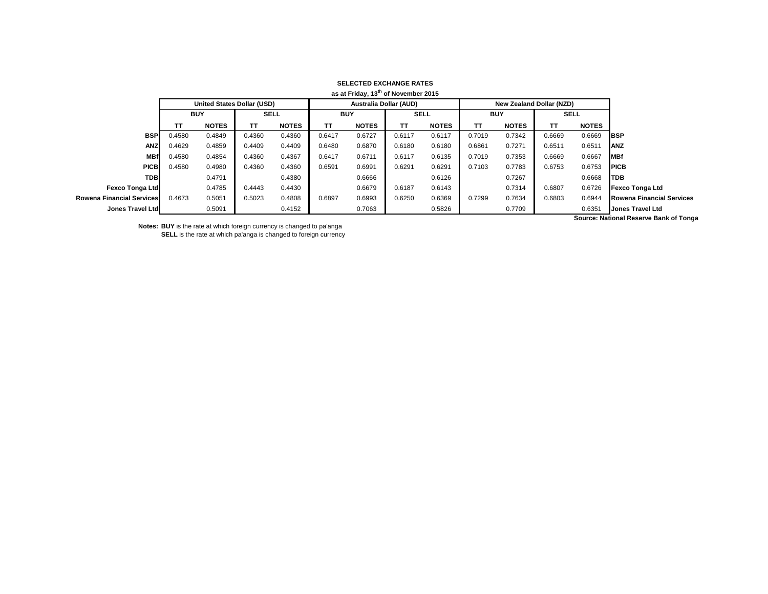|                                  | as at Friday, 13 <sup>th</sup> of November 2015 |              |             |              |                               |              |             |              |            |                                 |             |              |                                  |
|----------------------------------|-------------------------------------------------|--------------|-------------|--------------|-------------------------------|--------------|-------------|--------------|------------|---------------------------------|-------------|--------------|----------------------------------|
|                                  | <b>United States Dollar (USD)</b>               |              |             |              | <b>Australia Dollar (AUD)</b> |              |             |              |            | <b>New Zealand Dollar (NZD)</b> |             |              |                                  |
|                                  | <b>BUY</b>                                      |              | <b>SELL</b> |              | <b>BUY</b>                    |              | <b>SELL</b> |              | <b>BUY</b> |                                 | <b>SELL</b> |              |                                  |
|                                  | тт                                              | <b>NOTES</b> | TΤ          | <b>NOTES</b> | TT                            | <b>NOTES</b> | <b>TT</b>   | <b>NOTES</b> | <b>TT</b>  | <b>NOTES</b>                    | TT          | <b>NOTES</b> |                                  |
| <b>BSP</b>                       | 0.4580                                          | 0.4849       | 0.4360      | 0.4360       | 0.6417                        | 0.6727       | 0.6117      | 0.6117       | 0.7019     | 0.7342                          | 0.6669      | 0.6669       | <b>IBSP</b>                      |
| <b>ANZ</b>                       | 0.4629                                          | 0.4859       | 0.4409      | 0.4409       | 0.6480                        | 0.6870       | 0.6180      | 0.6180       | 0.6861     | 0.7271                          | 0.6511      | 0.6511       | <b>IANZ</b>                      |
| <b>MBf</b>                       | 0.4580                                          | 0.4854       | 0.4360      | 0.4367       | 0.6417                        | 0.6711       | 0.6117      | 0.6135       | 0.7019     | 0.7353                          | 0.6669      | 0.6667       | <b>MBf</b>                       |
| <b>PICB</b>                      | 0.4580                                          | 0.4980       | 0.4360      | 0.4360       | 0.6591                        | 0.6991       | 0.6291      | 0.6291       | 0.7103     | 0.7783                          | 0.6753      | 0.6753       | <b>IPICB</b>                     |
| <b>TDB</b>                       |                                                 | 0.4791       |             | 0.4380       |                               | 0.6666       |             | 0.6126       |            | 0.7267                          |             | 0.6668       | <b>TDB</b>                       |
| Fexco Tonga Ltd                  |                                                 | 0.4785       | 0.4443      | 0.4430       |                               | 0.6679       | 0.6187      | 0.6143       |            | 0.7314                          | 0.6807      | 0.6726       | <b>Fexco Tonga Ltd</b>           |
| <b>Rowena Financial Services</b> | 0.4673                                          | 0.5051       | 0.5023      | 0.4808       | 0.6897                        | 0.6993       | 0.6250      | 0.6369       | 0.7299     | 0.7634                          | 0.6803      | 0.6944       | <b>Rowena Financial Services</b> |
| Jones Travel Ltd                 |                                                 | 0.5091       |             | 0.4152       |                               | 0.7063       |             | 0.5826       |            | 0.7709                          |             | 0.6351       | <b>Jones Travel Ltd</b>          |
|                                  |                                                 |              |             |              |                               |              |             |              |            |                                 |             |              | .                                |

**Notes: BUY** is the rate at which foreign currency is changed to pa'anga **SELL** is the rate at which pa'anga is changed to foreign currency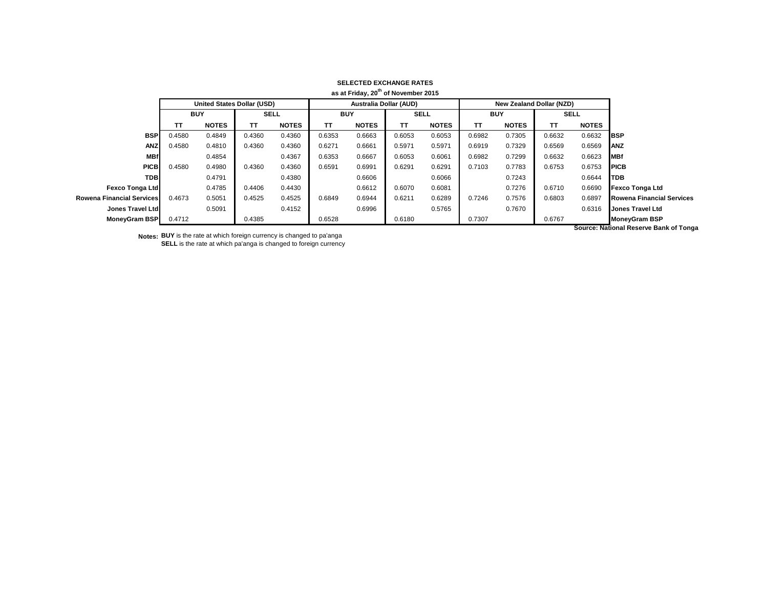|                                  |            |                                   |             |              |                               | as at Friday, 20 <sup>th</sup> of November 2015 |             |              |            |                                 |             |              |                                       |
|----------------------------------|------------|-----------------------------------|-------------|--------------|-------------------------------|-------------------------------------------------|-------------|--------------|------------|---------------------------------|-------------|--------------|---------------------------------------|
|                                  |            | <b>United States Dollar (USD)</b> |             |              | <b>Australia Dollar (AUD)</b> |                                                 |             |              |            | <b>New Zealand Dollar (NZD)</b> |             |              |                                       |
|                                  | <b>BUY</b> |                                   | <b>SELL</b> |              | <b>BUY</b>                    |                                                 | <b>SELL</b> |              | <b>BUY</b> |                                 | <b>SELL</b> |              |                                       |
|                                  | TΤ         | <b>NOTES</b>                      | TΤ          | <b>NOTES</b> | <b>TT</b>                     | <b>NOTES</b>                                    | TΤ          | <b>NOTES</b> | <b>TT</b>  | <b>NOTES</b>                    | ΤT          | <b>NOTES</b> |                                       |
| <b>BSP</b>                       | 0.4580     | 0.4849                            | 0.4360      | 0.4360       | 0.6353                        | 0.6663                                          | 0.6053      | 0.6053       | 0.6982     | 0.7305                          | 0.6632      | 0.6632       | <b>BSP</b>                            |
| <b>ANZ</b>                       | 0.4580     | 0.4810                            | 0.4360      | 0.4360       | 0.6271                        | 0.6661                                          | 0.5971      | 0.5971       | 0.6919     | 0.7329                          | 0.6569      | 0.6569       | <b>ANZ</b>                            |
| <b>MBf</b>                       |            | 0.4854                            |             | 0.4367       | 0.6353                        | 0.6667                                          | 0.6053      | 0.6061       | 0.6982     | 0.7299                          | 0.6632      | 0.6623       | <b>IMBf</b>                           |
| <b>PICB</b>                      | 0.4580     | 0.4980                            | 0.4360      | 0.4360       | 0.6591                        | 0.6991                                          | 0.6291      | 0.6291       | 0.7103     | 0.7783                          | 0.6753      | 0.6753       | <b>PICB</b>                           |
| <b>TDB</b>                       |            | 0.4791                            |             | 0.4380       |                               | 0.6606                                          |             | 0.6066       |            | 0.7243                          |             | 0.6644       | <b>ITDB</b>                           |
| Fexco Tonga Ltd                  |            | 0.4785                            | 0.4406      | 0.4430       |                               | 0.6612                                          | 0.6070      | 0.6081       |            | 0.7276                          | 0.6710      | 0.6690       | <b>Fexco Tonga Ltd</b>                |
| <b>Rowena Financial Services</b> | 0.4673     | 0.5051                            | 0.4525      | 0.4525       | 0.6849                        | 0.6944                                          | 0.6211      | 0.6289       | 0.7246     | 0.7576                          | 0.6803      | 0.6897       | <b>Rowena Financial Services</b>      |
| Jones Travel Ltd                 |            | 0.5091                            |             | 0.4152       |                               | 0.6996                                          |             | 0.5765       |            | 0.7670                          |             | 0.6316       | <b>Jones Travel Ltd</b>               |
| <b>MoneyGram BSP</b>             | 0.4712     |                                   | 0.4385      |              | 0.6528                        |                                                 | 0.6180      |              | 0.7307     |                                 | 0.6767      |              | <b>MoneyGram BSP</b>                  |
|                                  |            |                                   |             |              |                               |                                                 |             |              |            |                                 |             |              | Source: National Reserve Bank of Tong |

**Notes: BUY** is the rate at which foreign currency is changed to pa'anga **SELL** is the rate at which pa'anga is changed to foreign currency